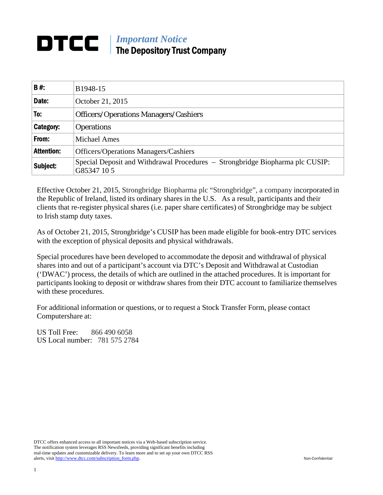# *Important Notice*  The Depository Trust Company

| <b>B#:</b>        | B1948-15                                                                                     |
|-------------------|----------------------------------------------------------------------------------------------|
| Date:             | October 21, 2015                                                                             |
| To:               | <b>Officers/Operations Managers/Cashiers</b>                                                 |
| <b>Category:</b>  | <b>Operations</b>                                                                            |
| From:             | <b>Michael Ames</b>                                                                          |
| <b>Attention:</b> | <b>Officers/Operations Managers/Cashiers</b>                                                 |
| Subject:          | Special Deposit and Withdrawal Procedures – Strongbridge Biopharma plc CUSIP:<br>G85347 10 5 |

Effective October 21, 2015, Strongbridge Biopharma plc "Strongbridge", a company incorporated in the Republic of Ireland, listed its ordinary shares in the U.S. As a result, participants and their clients that re-register physical shares (i.e. paper share certificates) of Strongbridge may be subject to Irish stamp duty taxes.

As of October 21, 2015, Strongbridge's CUSIP has been made eligible for book-entry DTC services with the exception of physical deposits and physical withdrawals.

Special procedures have been developed to accommodate the deposit and withdrawal of physical shares into and out of a participant's account via DTC's Deposit and Withdrawal at Custodian ('DWAC') process, the details of which are outlined in the attached procedures. It is important for participants looking to deposit or withdraw shares from their DTC account to familiarize themselves with these procedures.

For additional information or questions, or to request a Stock Transfer Form, please contact Computershare at:

US Toll Free: 866 490 6058 US Local number: 781 575 2784

DTCC offers enhanced access to all important notices via a Web-based subscription service. The notification system leverages RSS Newsfeeds, providing significant benefits including real-time updates and customizable delivery. To learn more and to set up your own DTCC RSS alerts, visit http://www.dtcc.com/subscription\_form.php. Non-Confidential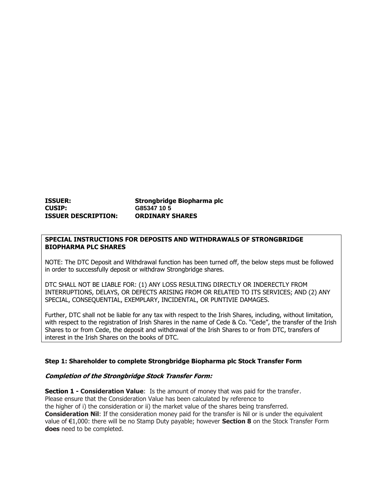# **ISSUER: Strongbridge Biopharma plc CUSIP: G85347 10 5 ISSUER DESCRIPTION: ORDINARY SHARES**

## **SPECIAL INSTRUCTIONS FOR DEPOSITS AND WITHDRAWALS OF STRONGBRIDGE BIOPHARMA PLC SHARES**

NOTE: The DTC Deposit and Withdrawal function has been turned off, the below steps must be followed in order to successfully deposit or withdraw Strongbridge shares.

DTC SHALL NOT BE LIABLE FOR: (1) ANY LOSS RESULTING DIRECTLY OR INDERECTLY FROM INTERRUPTIONS, DELAYS, OR DEFECTS ARISING FROM OR RELATED TO ITS SERVICES; AND (2) ANY SPECIAL, CONSEQUENTIAL, EXEMPLARY, INCIDENTAL, OR PUNTIVIE DAMAGES.

Further, DTC shall not be liable for any tax with respect to the Irish Shares, including, without limitation, with respect to the registration of Irish Shares in the name of Cede & Co. "Cede", the transfer of the Irish Shares to or from Cede, the deposit and withdrawal of the Irish Shares to or from DTC, transfers of interest in the Irish Shares on the books of DTC.

### **Step 1: Shareholder to complete Strongbridge Biopharma plc Stock Transfer Form**

#### **Completion of the Strongbridge Stock Transfer Form:**

**Section 1 - Consideration Value**: Is the amount of money that was paid for the transfer. Please ensure that the Consideration Value has been calculated by reference to the higher of i) the consideration or ii) the market value of the shares being transferred. **Consideration Nil:** If the consideration money paid for the transfer is Nil or is under the equivalent value of €1,000: there will be no Stamp Duty payable; however **Section 8** on the Stock Transfer Form **does** need to be completed.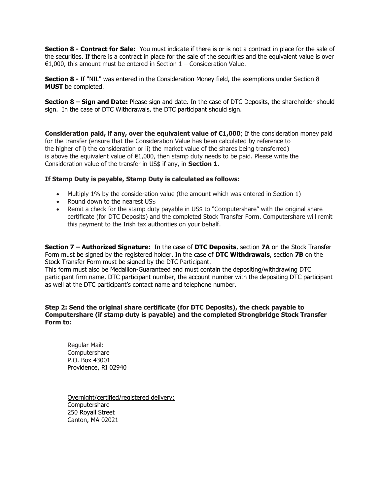**Section 8 - Contract for Sale:** You must indicate if there is or is not a contract in place for the sale of the securities. If there is a contract in place for the sale of the securities and the equivalent value is over €1,000, this amount must be entered in Section 1 – Consideration Value.

**Section 8 - If** "NIL" was entered in the Consideration Money field, the exemptions under Section 8 **MUST** be completed.

**Section 8 – Sign and Date:** Please sign and date. In the case of DTC Deposits, the shareholder should sign. In the case of DTC Withdrawals, the DTC participant should sign.

**Consideration paid, if any, over the equivalent value of €1,000**; If the consideration money paid for the transfer (ensure that the Consideration Value has been calculated by reference to the higher of i) the consideration or ii) the market value of the shares being transferred) is above the equivalent value of €1,000, then stamp duty needs to be paid. Please write the Consideration value of the transfer in US\$ if any, in **Section 1.** 

# **If Stamp Duty is payable, Stamp Duty is calculated as follows:**

- Multiply 1% by the consideration value (the amount which was entered in Section 1)
- Round down to the nearest US\$
- Remit a check for the stamp duty payable in US\$ to "Computershare" with the original share certificate (for DTC Deposits) and the completed Stock Transfer Form. Computershare will remit this payment to the Irish tax authorities on your behalf.

**Section 7 – Authorized Signature:** In the case of **DTC Deposits**, section **7A** on the Stock Transfer Form must be signed by the registered holder. In the case of **DTC Withdrawals**, section **7B** on the Stock Transfer Form must be signed by the DTC Participant.

This form must also be Medallion-Guaranteed and must contain the depositing/withdrawing DTC participant firm name, DTC participant number, the account number with the depositing DTC participant as well at the DTC participant's contact name and telephone number.

# **Step 2: Send the original share certificate (for DTC Deposits), the check payable to Computershare (if stamp duty is payable) and the completed Strongbridge Stock Transfer Form to:**

Regular Mail: **Computershare**  P.O. Box 43001 Providence, RI 02940

 Overnight/certified/registered delivery: Computershare 250 Royall Street Canton, MA 02021